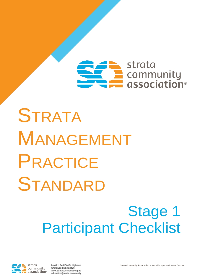## $\blacktriangleright$  strata **E** community<br> **E** association®

## **STRATA** MANAGEMENT PRACTICE STANDARD

## Stage 1 Participant Checklist



Level 1, 845 Pacific Highway Chatswood NSW 2126 www.stratacommunity.org.au education@strata.community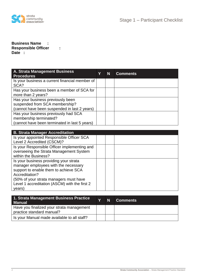

## **Business Name : Responsible Officer : Date :**

| A. Strata Management Business<br><b>Procedures</b>                                                                  | N | <b>Comments</b> |
|---------------------------------------------------------------------------------------------------------------------|---|-----------------|
| Is your business a current financial member of<br>SCA?                                                              |   |                 |
| Has your business been a member of SCA for<br>more than 2 years?                                                    |   |                 |
| Has your business previously been<br>suspended from SCA membership?<br>(cannot have been suspended in last 2 years) |   |                 |
| Has your business previously had SCA<br>membership terminated?<br>(cannot have been terminated in last 5 years)     |   |                 |

| <b>B. Strata Manager Accreditation</b>        |  |  |
|-----------------------------------------------|--|--|
| Is your appointed Responsible Officer SCA     |  |  |
| Level 2 Accredited (CSCM)?                    |  |  |
| Is your Responsible Officer implementing and  |  |  |
| overseeing the Strata Management System       |  |  |
| within the Business?                          |  |  |
| Is your business providing your strata        |  |  |
| manager employees with the necessary          |  |  |
| support to enable them to achieve SCA         |  |  |
| Accreditation?                                |  |  |
| (50% of your strata managers must have        |  |  |
| Level 1 accreditation (ASCM) with the first 2 |  |  |
| years)                                        |  |  |

| 1. Strata Management Business Practice<br><b>Manual</b>                | N | <b>Comments</b> |
|------------------------------------------------------------------------|---|-----------------|
| Have you finalized your strata management<br>practice standard manual? |   |                 |
| Is your Manual made available to all staff?                            |   |                 |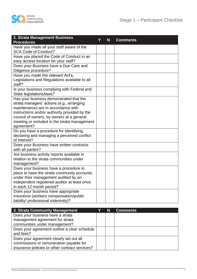

| 2. Strata Management Business<br><b>Procedures</b>                                                                                                                                                                                                                                      | Y | N | <b>Comments</b> |
|-----------------------------------------------------------------------------------------------------------------------------------------------------------------------------------------------------------------------------------------------------------------------------------------|---|---|-----------------|
| Have you made all your staff aware of the<br><b>SCA Code of Conduct?</b>                                                                                                                                                                                                                |   |   |                 |
| Have you placed the Code of Conduct in an<br>easy access location for your staff?                                                                                                                                                                                                       |   |   |                 |
| Does your Business have a Due Care and<br>Diligence procedure?                                                                                                                                                                                                                          |   |   |                 |
| Have you made the relevant Act's,<br>Legislations and Regulations available to all<br>staff?                                                                                                                                                                                            |   |   |                 |
| Is your business complying with Federal and<br>State legislations/laws?                                                                                                                                                                                                                 |   |   |                 |
| Has your business demonstrated that the<br>strata managers' actions (e.g., arranging<br>maintenance) are in accordance with<br>instructions and/or authority provided by the<br>council of owners, by owners at a general<br>meeting or included in the strata management<br>agreement? |   |   |                 |
| Do you have a procedure for identifying,<br>declaring and managing a perceived conflict<br>of interest?                                                                                                                                                                                 |   |   |                 |
| Does your Business have written contracts<br>with all parties?                                                                                                                                                                                                                          |   |   |                 |
| Are business activity reports available in<br>relation to the strata communities under<br>management?                                                                                                                                                                                   |   |   |                 |
| Does your business have a procedure in<br>place to have the strata community accounts<br>under their management audited by an<br>independent registered auditor at least once<br>in each 12-month period?                                                                               |   |   |                 |
| Does your business have appropriate<br>insurance (workers compensation/public<br>liability/ professional indemnity)?                                                                                                                                                                    |   |   |                 |

| 3. Strata Community Management                 | N | <b>Comments</b> |
|------------------------------------------------|---|-----------------|
| Does your business have a strata               |   |                 |
| management agreement for strata                |   |                 |
| communities under management?                  |   |                 |
| Does your agreement outline a clear schedule   |   |                 |
| and fees?                                      |   |                 |
| Does your agreement clearly set out all        |   |                 |
| commissions or remuneration payable for        |   |                 |
| insurance policies or other contract services? |   |                 |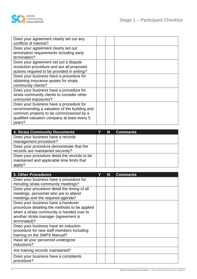

| Does your agreement clearly set out any<br>conflicts of interest?                                                                                                                            |  |  |
|----------------------------------------------------------------------------------------------------------------------------------------------------------------------------------------------|--|--|
| Does your agreement clearly set out                                                                                                                                                          |  |  |
| termination requirements including early<br>termination?                                                                                                                                     |  |  |
| Does your agreement set out a dispute<br>resolution procedure and are all proposed<br>actions required to be provided in writing?                                                            |  |  |
| Does your business have a procedure for<br>obtaining insurance quotes for strata<br>community clients?                                                                                       |  |  |
| Does your business have a procedure for<br>strata community clients to consider other<br>uninsured exposures?                                                                                |  |  |
| Does your business have a procedure for<br>recommending a valuation of the building and<br>common property to be commissioned by a<br>qualified valuation company at least every 5<br>years? |  |  |

| 4. Strata Community Documents                | N | <b>Comments</b> |
|----------------------------------------------|---|-----------------|
| Does your business have a records            |   |                 |
| management procedure?                        |   |                 |
| Does your procedure demonstrate that the     |   |                 |
| records are maintained securely?             |   |                 |
| Does your procedure detail the records to be |   |                 |
| maintained and applicable time limits that   |   |                 |
| apply?                                       |   |                 |

| 5. Other Procedures                           | N | <b>Comments</b> |
|-----------------------------------------------|---|-----------------|
| Does your business have a procedure for       |   |                 |
| minuting strata community meetings?           |   |                 |
| Does your procedure detail the timing of all  |   |                 |
| meetings, personnel who are to attend         |   |                 |
| meetings and the required agenda?             |   |                 |
| Does your business have a handover            |   |                 |
| procedure detailing the methods to be applied |   |                 |
| when a strata community is handed over to     |   |                 |
| another strata manager (agreement is          |   |                 |
| terminated)?                                  |   |                 |
| Does your business have an induction          |   |                 |
| procedure for new staff members including     |   |                 |
| training on the SMPS Manual?                  |   |                 |
| Have all your personnel undergone             |   |                 |
| inductions?                                   |   |                 |
| Are training records maintained?              |   |                 |
| Does your business have a complaints          |   |                 |
| procedure?                                    |   |                 |